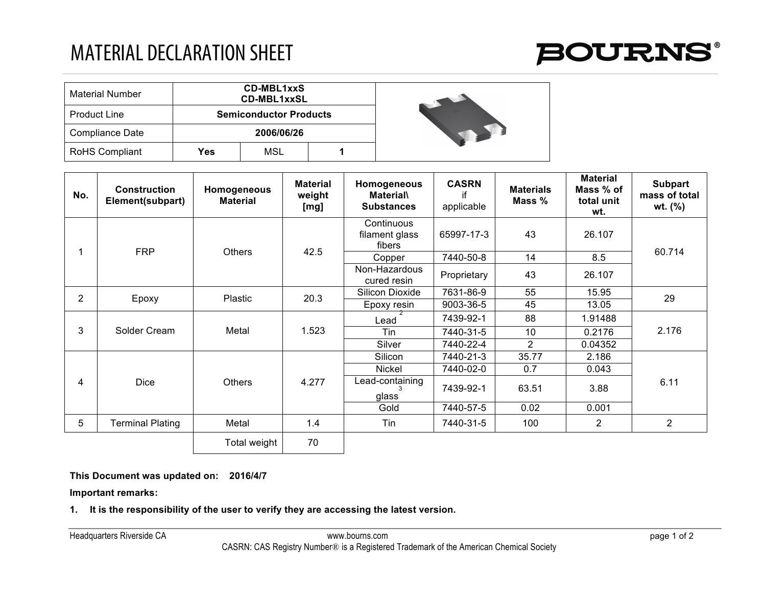## MATERIAL DECLARATION SHEET



| <b>Material Number</b> | <b>CD-MBL1xxS</b><br><b>CD-MBL1xxSL</b> |     |  |  |  |  |  |
|------------------------|-----------------------------------------|-----|--|--|--|--|--|
| <b>Product Line</b>    | <b>Semiconductor Products</b>           |     |  |  |  |  |  |
| Compliance Date        | 2006/06/26                              |     |  |  |  |  |  |
| RoHS Compliant         | Yes                                     | MSL |  |  |  |  |  |



| No.            | <b>Construction</b><br>Element(subpart) | Homogeneous<br><b>Material</b> | <b>Material</b><br>weight<br>[mg] | Homogeneous<br><b>Material\</b><br><b>Substances</b> | <b>CASRN</b><br>if<br>applicable | <b>Materials</b><br>Mass % | <b>Material</b><br>Mass % of<br>total unit<br>wt. | <b>Subpart</b><br>mass of total<br>wt. $(\%)$ |
|----------------|-----------------------------------------|--------------------------------|-----------------------------------|------------------------------------------------------|----------------------------------|----------------------------|---------------------------------------------------|-----------------------------------------------|
|                | <b>FRP</b>                              | <b>Others</b>                  | 42.5                              | Continuous<br>filament glass<br>fibers               | 65997-17-3                       | 43                         | 26.107                                            | 60.714                                        |
|                |                                         |                                |                                   | Copper                                               | 7440-50-8                        | 14                         | 8.5                                               |                                               |
|                |                                         |                                |                                   | Non-Hazardous<br>cured resin                         | Proprietary                      | 43                         | 26.107                                            |                                               |
| $\overline{2}$ | Epoxy                                   | Plastic                        | 20.3                              | Silicon Dioxide                                      | 7631-86-9                        | 55                         | 15.95                                             | 29                                            |
|                |                                         |                                |                                   | Epoxy resin                                          | 9003-36-5                        | 45                         | 13.05                                             |                                               |
| 3              | Solder Cream                            | Metal                          | 1.523                             | Lead                                                 | 7439-92-1                        | 88                         | 1.91488                                           | 2.176                                         |
|                |                                         |                                |                                   | Tin                                                  | 7440-31-5                        | 10                         | 0.2176                                            |                                               |
|                |                                         |                                |                                   | Silver                                               | 7440-22-4                        | $\overline{2}$             | 0.04352                                           |                                               |
| 4              | <b>Dice</b>                             | <b>Others</b>                  | 4.277                             | Silicon                                              | 7440-21-3                        | 35.77                      | 2.186                                             | 6.11                                          |
|                |                                         |                                |                                   | Nickel                                               | 7440-02-0                        | 0.7                        | 0.043                                             |                                               |
|                |                                         |                                |                                   | Lead-containing<br>glass                             | 7439-92-1                        | 63.51                      | 3.88                                              |                                               |
|                |                                         |                                |                                   | Gold                                                 | 7440-57-5                        | 0.02                       | 0.001                                             |                                               |
| 5              | Terminal Plating                        | Metal                          | 1.4                               | Tin                                                  | 7440-31-5                        | 100                        | $\overline{2}$                                    | $\overline{2}$                                |
|                |                                         | Total weight                   | 70                                |                                                      |                                  |                            |                                                   |                                               |

## **This Document was updated on: 2016/4/7**

**Important remarks:**

**1. It is the responsibility of the user to verify they are accessing the latest version.**